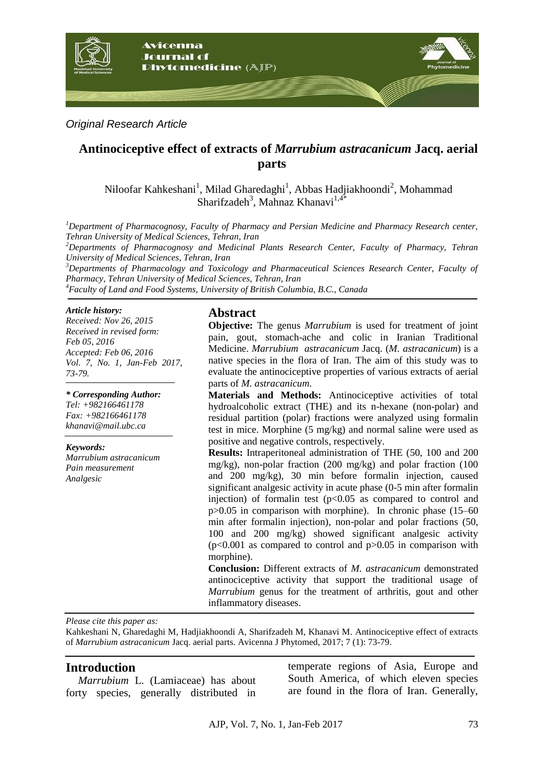

*Original Research Article*

# **Antinociceptive effect of extracts of** *Marrubium astracanicum* **Jacq. aerial parts**

Niloofar Kahkeshani<sup>1</sup>, Milad Gharedaghi<sup>1</sup>, Abbas Hadjiakhoondi<sup>2</sup>, Mohammad Sharifzadeh<sup>3</sup>, Mahnaz Khanavi<sup>1,4\*</sup>

*<sup>1</sup>Department of Pharmacognosy, Faculty of Pharmacy and Persian Medicine and Pharmacy Research center, Tehran University of Medical Sciences, Tehran, Iran*

*<sup>2</sup>Departments of Pharmacognosy and Medicinal Plants Research Center, Faculty of Pharmacy, Tehran University of Medical Sciences, Tehran, Iran*

*<sup>3</sup>Departments of Pharmacology and Toxicology and Pharmaceutical Sciences Research Center, Faculty of Pharmacy, Tehran University of Medical Sciences, Tehran, Iran*

*<sup>4</sup>Faculty of Land and Food Systems, University of British Columbia, B.C., Canada*

#### *Article history:*

*Received: Nov 26, 2015 Received in revised form: Feb 05, 2016 Accepted: Feb 06, 2016 Vol. 7, No. 1, Jan-Feb 2017, 73-79.*

*\* Corresponding Author: Tel: +982166461178 Fax: +982166461178 khanavi@mail.ubc.ca*

*Keywords: Marrubium astracanicum Pain measurement Analgesic*

### **Abstract**

**Objective:** The genus *Marrubium* is used for treatment of joint pain, gout, stomach-ache and colic in Iranian Traditional Medicine. *Marrubium astracanicum* Jacq. (*M. astracanicum*) is a native species in the flora of Iran. The aim of this study was to evaluate the antinociceptive properties of various extracts of aerial parts of *M. astracanicum*.

**Materials and Methods:** Antinociceptive activities of total hydroalcoholic extract (THE) and its n-hexane (non-polar) and residual partition (polar) fractions were analyzed using formalin test in mice. Morphine (5 mg/kg) and normal saline were used as positive and negative controls, respectively.

**Results:** Intraperitoneal administration of THE (50, 100 and 200 mg/kg), non-polar fraction (200 mg/kg) and polar fraction (100 and 200 mg/kg), 30 min before formalin injection, caused significant analgesic activity in acute phase (0-5 min after formalin injection) of formal in test  $(p<0.05$  as compared to control and p>0.05 in comparison with morphine). In chronic phase (15–60 min after formalin injection), non-polar and polar fractions (50, 100 and 200 mg/kg) showed significant analgesic activity  $(p<0.001$  as compared to control and  $p>0.05$  in comparison with morphine).

**Conclusion:** Different extracts of *M. astracanicum* demonstrated antinociceptive activity that support the traditional usage of *Marrubium* genus for the treatment of arthritis, gout and other inflammatory diseases.

*Please cite this paper as:* 

Kahkeshani N, Gharedaghi M, Hadjiakhoondi A, Sharifzadeh M, Khanavi M. Antinociceptive effect of extracts of *Marrubium astracanicum* Jacq. aerial parts. Avicenna J Phytomed, 2017; 7 (1): 73-79.

### **Introduction**

*Marrubium* L. (Lamiaceae) has about forty species, generally distributed in temperate regions of Asia, Europe and South America, of which eleven species are found in the flora of Iran. Generally,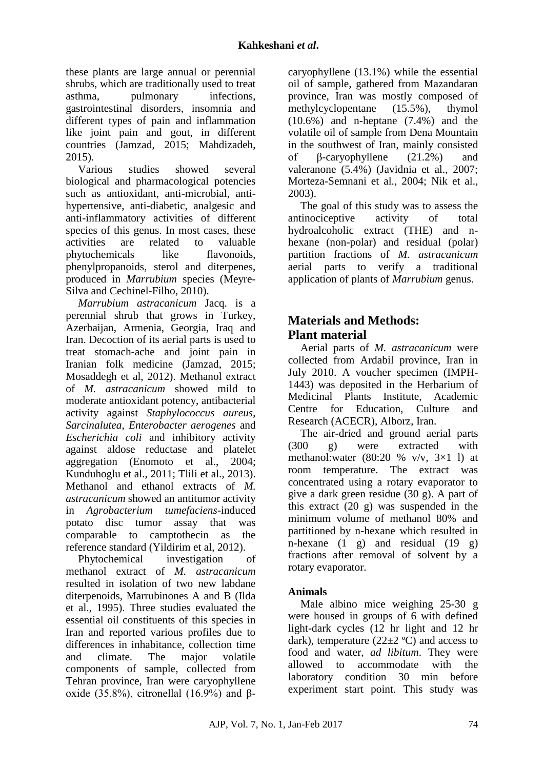these plants are large annual or perennial shrubs, which are traditionally used to treat asthma, pulmonary infections, gastrointestinal disorders, insomnia and different types of pain and inflammation like joint pain and gout, in different countries (Jamzad, 2015; Mahdizadeh, 2015).

Various studies showed several biological and pharmacological potencies such as antioxidant, anti-microbial, antihypertensive, anti-diabetic, analgesic and anti-inflammatory activities of different species of this genus. In most cases, these activities are related to valuable phytochemicals like flavonoids. phenylpropanoids, sterol and diterpenes, produced in *Marrubium* species (Meyre-Silva and Cechinel-Filho, 2010).

*Marrubium astracanicum* Jacq. is a perennial shrub that grows in Turkey, Azerbaijan, Armenia, Georgia, Iraq and Iran. Decoction of its aerial parts is used to treat stomach-ache and joint pain in Iranian folk medicine (Jamzad, 2015; Mosaddegh et al, 2012). Methanol extract of *M. astracanicum* showed mild to moderate antioxidant potency, antibacterial activity against *Staphylococcus aureus*, *Sarcinalutea*, *Enterobacter aerogenes* and *Escherichia coli* and inhibitory activity against aldose reductase and platelet aggregation (Enomoto et al., 2004; Kunduhoglu et al., 2011; Tlili et al., 2013). Methanol and ethanol extracts of *M. astracanicum* showed an antitumor activity in *Agrobacterium tumefaciens*-induced potato disc tumor assay that was comparable to camptothecin as the reference standard (Yildirim et al, 2012).

Phytochemical investigation of methanol extract of *M. astracanicum* resulted in isolation of two new labdane diterpenoids, Marrubinones A and B (Ilda et al., 1995). Three studies evaluated the essential oil constituents of this species in Iran and reported various profiles due to differences in inhabitance, collection time and climate. The major volatile components of sample, collected from Tehran province, Iran were caryophyllene oxide (35.8%), citronellal  $(16.9\%)$  and  $\beta$ -

caryophyllene (13.1%) while the essential oil of sample, gathered from Mazandaran province, Iran was mostly composed of methylcyclopentane (15.5%), thymol (10.6%) and n-heptane (7.4%) and the volatile oil of sample from Dena Mountain in the southwest of Iran, mainly consisted of β-caryophyllene (21.2%) and valeranone (5.4%) (Javidnia et al., 2007; Morteza-Semnani et al., 2004; Nik et al., 2003).

The goal of this study was to assess the antinociceptive activity of total hydroalcoholic extract (THE) and nhexane (non-polar) and residual (polar) partition fractions of *M. astracanicum* aerial parts to verify a traditional application of plants of *Marrubium* genus.

# **Materials and Methods: Plant material**

Aerial parts of *M. astracanicum* were collected from Ardabil province, Iran in July 2010. A voucher specimen (IMPH-1443) was deposited in the Herbarium of Medicinal Plants Institute, Academic Centre for Education, Culture and Research (ACECR), Alborz, Iran.

The air-dried and ground aerial parts (300 g) were extracted with methanol:water  $(80:20 %$  v/v,  $3×1$  l) at room temperature. The extract was concentrated using a rotary evaporator to give a dark green residue (30 g). A part of this extract (20 g) was suspended in the minimum volume of methanol 80% and partitioned by n-hexane which resulted in n-hexane (1 g) and residual (19 g) fractions after removal of solvent by a rotary evaporator.

# **Animals**

Male albino mice weighing 25-30 g were housed in groups of 6 with defined light-dark cycles (12 hr light and 12 hr dark), temperature  $(22\pm 2 \degree C)$  and access to food and water, *ad libitum*. They were allowed to accommodate with the laboratory condition 30 min before experiment start point. This study was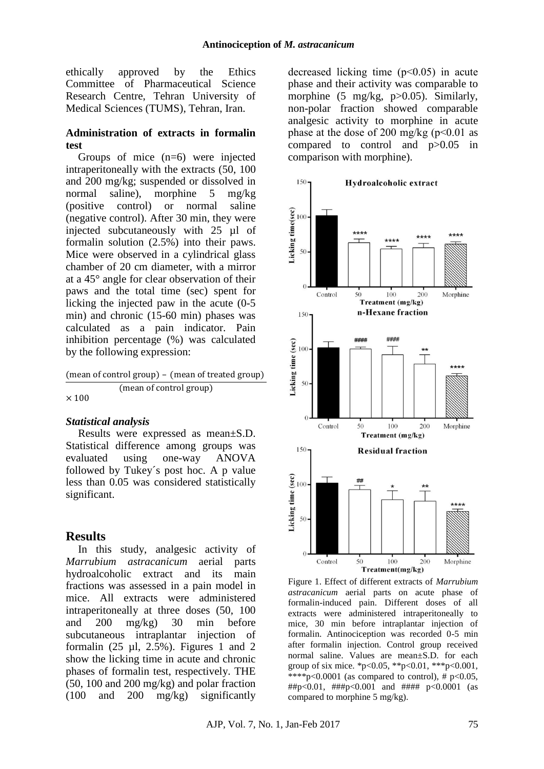ethically approved by the Ethics Committee of Pharmaceutical Science Research Centre, Tehran University of Medical Sciences (TUMS), Tehran, Iran.

### **Administration of extracts in formalin test**

Groups of mice (n=6) were injected intraperitoneally with the extracts (50, 100 and 200 mg/kg; suspended or dissolved in normal saline), morphine 5 mg/kg (positive control) or normal saline (negative control). After 30 min, they were injected subcutaneously with 25 µl of formalin solution (2.5%) into their paws. Mice were observed in a cylindrical glass chamber of 20 cm diameter, with a mirror at a 45° angle for clear observation of their paws and the total time (sec) spent for licking the injected paw in the acute (0-5 min) and chronic (15-60 min) phases was calculated as a pain indicator. Pain inhibition percentage (%) was calculated by the following expression:

(mean of control group) – (mean of treated group) (mean of control group)  $\times$  100

### *Statistical analysis*

Results were expressed as mean±S.D. Statistical difference among groups was evaluated using one-way ANOVA followed by Tukey´s post hoc. A p value less than 0.05 was considered statistically significant.

# **Results**

In this study, analgesic activity of *Marrubium astracanicum* aerial parts hydroalcoholic extract and its main fractions was assessed in a pain model in mice. All extracts were administered intraperitoneally at three doses (50, 100 and 200 mg/kg) 30 min before subcutaneous intraplantar injection of formalin  $(25 \mu l, 2.5\%)$ . Figures 1 and 2 show the licking time in acute and chronic phases of formalin test, respectively. THE (50, 100 and 200 mg/kg) and polar fraction (100 and 200 mg/kg) significantly

decreased licking time (p˂0.05) in acute phase and their activity was comparable to morphine (5 mg/kg, p>0.05). Similarly, non-polar fraction showed comparable analgesic activity to morphine in acute phase at the dose of 200 mg/kg  $(p<0.01$  as compared to control and p>0.05 in comparison with morphine).



Figure 1. Effect of different extracts of *Marrubium astracanicum* aerial parts on acute phase of formalin-induced pain. Different doses of all extracts were administered intraperitoneally to mice, 30 min before intraplantar injection of formalin. Antinociception was recorded 0-5 min after formalin injection. Control group received normal saline. Values are mean±S.D. for each group of six mice. \*p<0.05, \*\*p<0.01, \*\*\*p<0.001, \*\*\*\*p<0.0001 (as compared to control),  $\#$  p<0.05,  $\#$ #p<0.01,  $\#$ ##p<0.001 and  $\#$ ### p<0.0001 (as compared to morphine 5 mg/kg).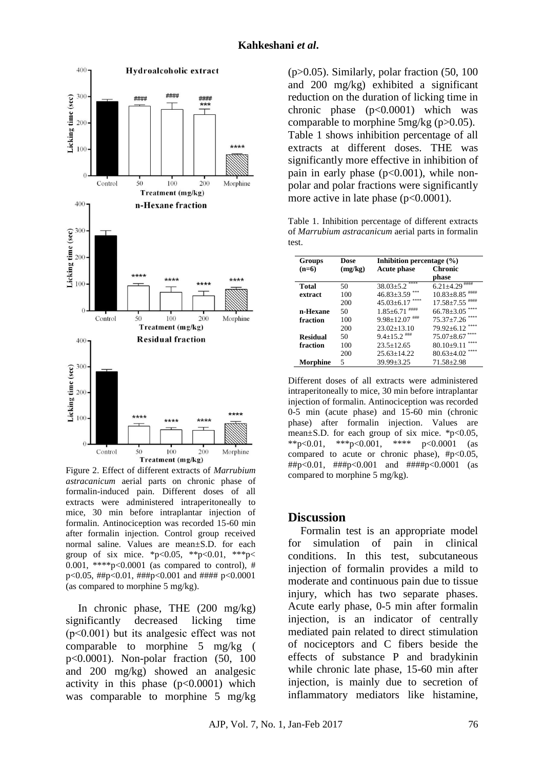

Figure 2. Effect of different extracts of *Marrubium astracanicum* aerial parts on chronic phase of formalin-induced pain. Different doses of all extracts were administered intraperitoneally to mice, 30 min before intraplantar injection of formalin. Antinociception was recorded 15-60 min after formalin injection. Control group received normal saline. Values are mean±S.D. for each group of six mice. \*p<0.05, \*\*p<0.01, \*\*\*p< 0.001, \*\*\*\*p<0.0001 (as compared to control), # p<0.05, ##p<0.01, ###p<0.001 and #### p<0.0001 (as compared to morphine 5 mg/kg).

In chronic phase, THE (200 mg/kg) significantly decreased licking time (p˂0.001) but its analgesic effect was not comparable to morphine 5 mg/kg ( p<0.0001). Non-polar fraction (50, 100 and 200 mg/kg) showed an analgesic activity in this phase  $(p<0.0001)$  which was comparable to morphine 5 mg/kg

 $(p>0.05)$ . Similarly, polar fraction (50, 100) and 200 mg/kg) exhibited a significant reduction on the duration of licking time in chronic phase  $(p<0.0001)$  which was comparable to morphine 5mg/kg (p>0.05). Table 1 shows inhibition percentage of all extracts at different doses. THE was significantly more effective in inhibition of pain in early phase  $(p<0.001)$ , while nonpolar and polar fractions were significantly more active in late phase  $(p<0.0001)$ .

Table 1. Inhibition percentage of different extracts of *Marrubium astracanicum* aerial parts in formalin test.

| <b>Groups</b>   | Dose    | Inhibition percentage $(\% )$ |                                  |
|-----------------|---------|-------------------------------|----------------------------------|
| $(n=6)$         | (mg/kg) | <b>Acute phase</b>            | <b>Chronic</b>                   |
|                 |         |                               | phase                            |
| <b>Total</b>    | 50      | ****<br>$38.03 \pm 5.2$       | $6.21 \pm 4.29$ *****            |
| extract         | 100     | $46.83 \pm 3.59$              | $10.83 \pm 8.85$ <sup>####</sup> |
|                 | 200     | $45.03 + 6.17$                | ####<br>$17.58 + 7.55$           |
| n-Hexane        | 50      | ####<br>$1.85 \pm 6.71$       | $66.78 + 3.05$                   |
| fraction        | 100     | ###<br>$9.98 + 12.07$         | $75.37 + 7.26$                   |
|                 | 200     | $23.02+13.10$                 | ****<br>$79.92 + 6.12$           |
| <b>Residual</b> | 50      | $9.4 \pm 15.2$ ****           | $75.07 \pm 8.67$                 |
| fraction        | 100     | $23.5 + 12.65$                | ****<br>$80.10 \pm 9.11$         |
|                 | 200     | $25.63 + 14.22$               | ****<br>$80.63 + 4.02$           |
| Morphine        | 5       | $39.99 + 3.25$                | $71.58 \pm 2.98$                 |

Different doses of all extracts were administered intraperitoneally to mice, 30 min before intraplantar injection of formalin. Antinociception was recorded 0-5 min (acute phase) and 15-60 min (chronic phase) after formalin injection. Values are mean $\pm$ S.D. for each group of six mice. \*p<0.05, \*\*p<0.01, \*\*\*p<0.001, \*\*\*\* p<0.0001 (as compared to acute or chronic phase), #p<0.05, ##p<0.01, ###p<0.001 and ####p<0.0001 (as compared to morphine 5 mg/kg).

### **Discussion**

Formalin test is an appropriate model for simulation of pain in clinical conditions. In this test, subcutaneous injection of formalin provides a mild to moderate and continuous pain due to tissue injury, which has two separate phases. Acute early phase, 0-5 min after formalin injection, is an indicator of centrally mediated pain related to direct stimulation of nociceptors and C fibers beside the effects of substance P and bradykinin while chronic late phase, 15-60 min after injection, is mainly due to secretion of inflammatory mediators like histamine,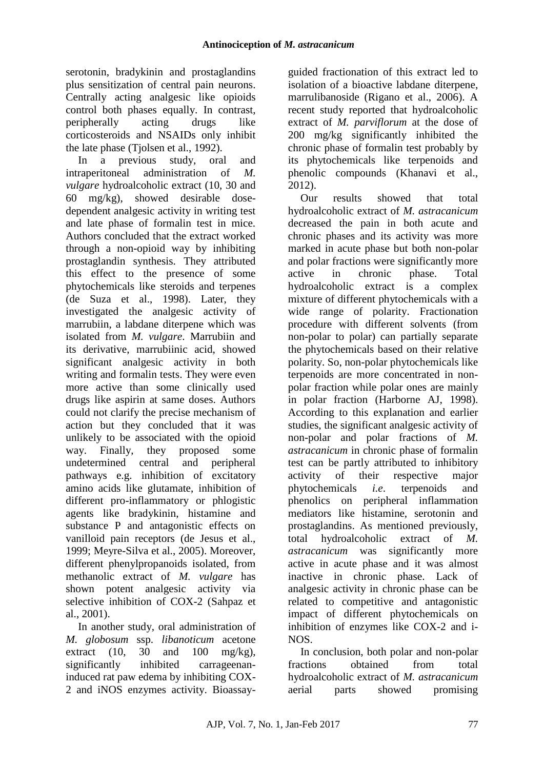serotonin, bradykinin and prostaglandins plus sensitization of central pain neurons. Centrally acting analgesic like opioids control both phases equally. In contrast, peripherally acting drugs like corticosteroids and NSAIDs only inhibit the late phase (Tjolsen et al., 1992).

In a previous study, oral and intraperitoneal administration of *M. vulgare* hydroalcoholic extract (10, 30 and 60 mg/kg), showed desirable dosedependent analgesic activity in writing test and late phase of formalin test in mice. Authors concluded that the extract worked through a non-opioid way by inhibiting prostaglandin synthesis. They attributed this effect to the presence of some phytochemicals like steroids and terpenes (de Suza et al., 1998). Later, they investigated the analgesic activity of marrubiin, a labdane diterpene which was isolated from *M. vulgare*. Marrubiin and its derivative, marrubiinic acid, showed significant analgesic activity in both writing and formalin tests. They were even more active than some clinically used drugs like aspirin at same doses. Authors could not clarify the precise mechanism of action but they concluded that it was unlikely to be associated with the opioid way. Finally, they proposed some undetermined central and peripheral pathways e.g. inhibition of excitatory amino acids like glutamate, inhibition of different pro-inflammatory or phlogistic agents like bradykinin, histamine and substance P and antagonistic effects on vanilloid pain receptors (de Jesus et al., 1999; Meyre-Silva et al., 2005). Moreover, different phenylpropanoids isolated, from methanolic extract of *M. vulgare* has shown potent analgesic activity via selective inhibition of COX-2 (Sahpaz et al., 2001).

In another study, oral administration of *M. globosum* ssp. *libanoticum* acetone extract (10, 30 and 100 mg/kg), significantly inhibited carrageenaninduced rat paw edema by inhibiting COX-2 and iNOS enzymes activity. Bioassayguided fractionation of this extract led to isolation of a bioactive labdane diterpene, marrulibanoside (Rigano et al., 2006). A recent study reported that hydroalcoholic extract of *M. parviflorum* at the dose of 200 mg/kg significantly inhibited the chronic phase of formalin test probably by its phytochemicals like terpenoids and phenolic compounds (Khanavi et al., 2012).

Our results showed that total hydroalcoholic extract of *M. astracanicum* decreased the pain in both acute and chronic phases and its activity was more marked in acute phase but both non-polar and polar fractions were significantly more active in chronic phase. Total hydroalcoholic extract is a complex mixture of different phytochemicals with a wide range of polarity. Fractionation procedure with different solvents (from non-polar to polar) can partially separate the phytochemicals based on their relative polarity. So, non-polar phytochemicals like terpenoids are more concentrated in nonpolar fraction while polar ones are mainly in polar fraction (Harborne AJ, 1998). According to this explanation and earlier studies, the significant analgesic activity of non-polar and polar fractions of *M. astracanicum* in chronic phase of formalin test can be partly attributed to inhibitory activity of their respective major phytochemicals *i.e*. terpenoids and phenolics on peripheral inflammation mediators like histamine, serotonin and prostaglandins. As mentioned previously, total hydroalcoholic extract of *M. astracanicum* was significantly more active in acute phase and it was almost inactive in chronic phase. Lack of analgesic activity in chronic phase can be related to competitive and antagonistic impact of different phytochemicals on inhibition of enzymes like COX-2 and i-NOS.

In conclusion, both polar and non-polar fractions obtained from total hydroalcoholic extract of *M. astracanicum* aerial parts showed promising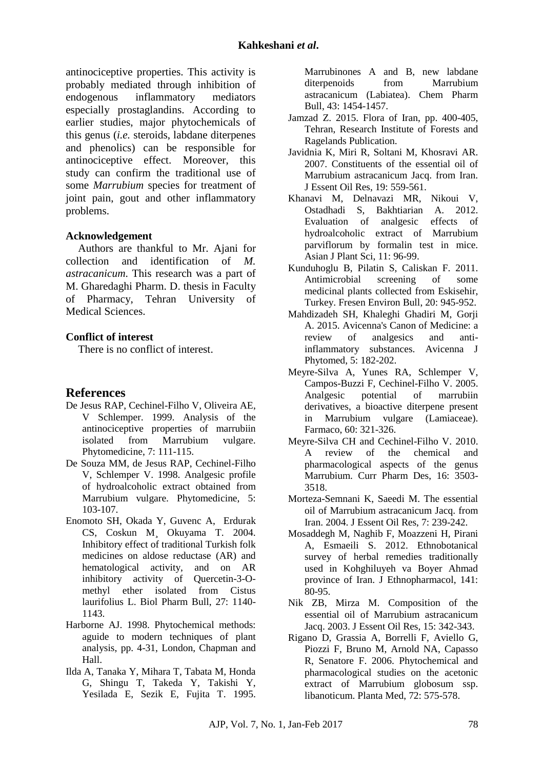antinociceptive properties. This activity is probably mediated through inhibition of endogenous inflammatory mediators especially prostaglandins. According to earlier studies, major phytochemicals of this genus (*i.e.* steroids, labdane diterpenes and phenolics) can be responsible for antinociceptive effect. Moreover, this study can confirm the traditional use of some *Marrubium* species for treatment of joint pain, gout and other inflammatory problems.

### **Acknowledgement**

Authors are thankful to Mr. Ajani for collection and identification of *M. astracanicum*. This research was a part of M. Gharedaghi Pharm. D. thesis in Faculty of Pharmacy, Tehran University of Medical Sciences.

### **Conflict of interest**

There is no conflict of interest.

# **References**

- De Jesus RAP, Cechinel-Filho V, Oliveira AE, V Schlemper. 1999. Analysis of the antinociceptive properties of marrubiin isolated from Marrubium vulgare. Phytomedicine, 7: 111-115.
- De Souza MM, de Jesus RAP, Cechinel-Filho V, Schlemper V. 1998. Analgesic profile of hydroalcoholic extract obtained from Marrubium vulgare. Phytomedicine, 5: 103-107.
- Enomoto SH, Okada Y, Guvenc A, Erdurak CS, Coskun M¸ Okuyama T. 2004. Inhibitory effect of traditional Turkish folk medicines on aldose reductase (AR) and hematological activity, and on AR inhibitory activity of Quercetin-3-Omethyl ether isolated from Cistus laurifolius L. Biol Pharm Bull, 27: 1140- 1143.
- Harborne AJ. 1998. Phytochemical methods: aguide to modern techniques of plant analysis, pp. 4-31, London, Chapman and Hall.
- Ilda A, Tanaka Y, Mihara T, Tabata M, Honda G, Shingu T, Takeda Y, Takishi Y, Yesilada E, Sezik E, Fujita T. 1995.

Marrubinones A and B, new labdane diterpenoids from Marrubium astracanicum (Labiatea). Chem Pharm Bull, 43: 1454-1457.

- Jamzad Z. 2015. Flora of Iran, pp. 400-405, Tehran, Research Institute of Forests and Ragelands Publication.
- Javidnia K, Miri R, Soltani M, Khosravi AR. 2007. Constituents of the essential oil of Marrubium astracanicum Jacq. from Iran. J Essent Oil Res, 19: 559-561.
- Khanavi M, Delnavazi MR, Nikoui V, Ostadhadi S, Bakhtiarian A. 2012. Evaluation of analgesic effects of hydroalcoholic extract of Marrubium parviflorum by formalin test in mice. Asian J Plant Sci, 11: 96-99.
- Kunduhoglu B, Pilatin S, Caliskan F. 2011. Antimicrobial screening of some medicinal plants collected from Eskisehir, Turkey. Fresen Environ Bull, 20: 945-952.
- Mahdizadeh SH, Khaleghi Ghadiri M, Gorji A. 2015. Avicenna's Canon of Medicine: a review of analgesics and antiinflammatory substances. Avicenna J Phytomed, 5: 182-202.
- Meyre-Silva A, Yunes RA, Schlemper V, Campos-Buzzi F, Cechinel-Filho V. 2005. Analgesic potential of marrubiin derivatives, a bioactive diterpene present in Marrubium vulgare (Lamiaceae). Farmaco, 60: 321-326.
- Meyre-Silva CH and Cechinel-Filho V. 2010. A review of the chemical and pharmacological aspects of the genus Marrubium. Curr Pharm Des, 16: 3503- 3518.
- Morteza-Semnani K, Saeedi M. The essential oil of Marrubium astracanicum Jacq. from Iran. 2004. J Essent Oil Res, 7: 239-242.
- Mosaddegh M, Naghib F, Moazzeni H, Pirani A, Esmaeili S. 2012. Ethnobotanical survey of herbal remedies traditionally used in Kohghiluyeh va Boyer Ahmad province of Iran. J Ethnopharmacol, 141: 80-95.
- Nik ZB, Mirza M. Composition of the essential oil of Marrubium astracanicum Jacq. 2003. J Essent Oil Res, 15: 342-343.
- Rigano D, Grassia A, Borrelli F, Aviello G, Piozzi F, Bruno M, Arnold NA, Capasso R, Senatore F. 2006. Phytochemical and pharmacological studies on the acetonic extract of Marrubium globosum ssp. libanoticum. Planta Med, 72: 575-578.